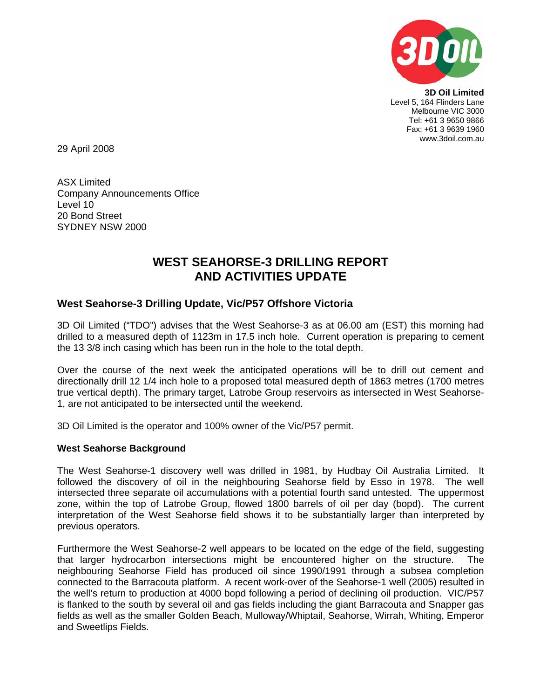

**3D Oil Limited**  Level 5, 164 Flinders Lane Melbourne VIC 3000 Tel: +61 3 9650 9866 Fax: +61 3 9639 1960 www.3doil.com.au

29 April 2008

ASX Limited Company Announcements Office Level 10 20 Bond Street SYDNEY NSW 2000

# **WEST SEAHORSE-3 DRILLING REPORT AND ACTIVITIES UPDATE**

## **West Seahorse-3 Drilling Update, Vic/P57 Offshore Victoria**

3D Oil Limited ("TDO") advises that the West Seahorse-3 as at 06.00 am (EST) this morning had drilled to a measured depth of 1123m in 17.5 inch hole. Current operation is preparing to cement the 13 3/8 inch casing which has been run in the hole to the total depth.

Over the course of the next week the anticipated operations will be to drill out cement and directionally drill 12 1/4 inch hole to a proposed total measured depth of 1863 metres (1700 metres true vertical depth). The primary target, Latrobe Group reservoirs as intersected in West Seahorse-1, are not anticipated to be intersected until the weekend.

3D Oil Limited is the operator and 100% owner of the Vic/P57 permit.

### **West Seahorse Background**

The West Seahorse-1 discovery well was drilled in 1981, by Hudbay Oil Australia Limited. It followed the discovery of oil in the neighbouring Seahorse field by Esso in 1978. The well intersected three separate oil accumulations with a potential fourth sand untested. The uppermost zone, within the top of Latrobe Group, flowed 1800 barrels of oil per day (bopd). The current interpretation of the West Seahorse field shows it to be substantially larger than interpreted by previous operators.

Furthermore the West Seahorse-2 well appears to be located on the edge of the field, suggesting that larger hydrocarbon intersections might be encountered higher on the structure. The neighbouring Seahorse Field has produced oil since 1990/1991 through a subsea completion connected to the Barracouta platform. A recent work-over of the Seahorse-1 well (2005) resulted in the well's return to production at 4000 bopd following a period of declining oil production. VIC/P57 is flanked to the south by several oil and gas fields including the giant Barracouta and Snapper gas fields as well as the smaller Golden Beach, Mulloway/Whiptail, Seahorse, Wirrah, Whiting, Emperor and Sweetlips Fields.